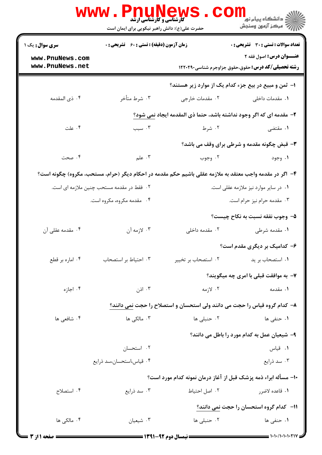|                                                                                                         | <b>5 کارشناسی و کارشناسی ارشد</b><br>حضرت علی(ع): دانش راهبر نیکویی برای ایمان است |                                                                           | ڪ دانشڪاه پيا <sub>م</sub> نور<br><mark>∕</mark> > مرڪز آزمون وسنڊش                          |  |  |
|---------------------------------------------------------------------------------------------------------|------------------------------------------------------------------------------------|---------------------------------------------------------------------------|----------------------------------------------------------------------------------------------|--|--|
| سری سوال: یک ۱                                                                                          | <b>زمان آزمون (دقیقه) : تستی : 60 ٪ تشریحی : 0</b>                                 |                                                                           | <b>تعداد سوالات : تستی : 30 ٪ تشریحی : 0</b>                                                 |  |  |
| www.PnuNews.com<br>www.PnuNews.net                                                                      |                                                                                    |                                                                           | <b>عنـــوان درس:</b> اصول فقه ۲<br><b>رشته تحصیلی/کد درس:</b> حقوق،حقوق جزاوجرم شناسی1۲۲۰۲۹۰ |  |  |
|                                                                                                         |                                                                                    |                                                                           | ۱– ثمن و مبیع در بیع جزء کدام یک از موارد زیر هستند؟                                         |  |  |
| ۰۴ ذي المقدمه                                                                                           | ۰۳ شرط متأخر                                                                       | ۰۲ مقدمات خارجی                                                           | ۰۱ مقدمات داخلی                                                                              |  |  |
|                                                                                                         |                                                                                    | ۲- مقدمه ای که اگر وجود نداشته باشد، حتما ذی المقدمه ایجاد نمی شود؟       |                                                                                              |  |  |
| ۰۴ علت                                                                                                  | ۰۳ سبب                                                                             | ۰۲ شرط                                                                    | ۰۱ مقتضی                                                                                     |  |  |
|                                                                                                         |                                                                                    |                                                                           | <b>۳</b> - قبض چگونه مقدمه و شرطی برای وقف می باشد؟                                          |  |  |
| ۰۴ صحت                                                                                                  | ۰۳ علم                                                                             | ۰۲ وجوب                                                                   | ۰۱ وجود                                                                                      |  |  |
| ۴- اگر در مقدمه واجب معتقد به ملازمه عقلی باشیم حکم مقدمه در احکام دیگر (حرام، مستحب، مکروه) چگونه است؟ |                                                                                    |                                                                           |                                                                                              |  |  |
|                                                                                                         | ۲ . فقط در مقدمه مستحب چنین ملازمه ای است.                                         |                                                                           | ۰۱ در سایر موارد نیز ملازمه عقلی است.                                                        |  |  |
|                                                                                                         | ۰۴ مقدمه مکروه، مکروه است.                                                         |                                                                           | ۰۳ مقدمه حرام نیز حرام است.                                                                  |  |  |
|                                                                                                         |                                                                                    |                                                                           | ۵– وجوب نفقه نسبت به نکاح چیست؟                                                              |  |  |
| ۰۴ مقدمه عقلی آن                                                                                        | ۰۳ لازمه آن                                                                        | ۰۲ مقدمه داخلی                                                            | ۰۱ مقدمه شرطی                                                                                |  |  |
|                                                                                                         |                                                                                    |                                                                           | ۶- کدامیک بر دیگری مقدم است؟                                                                 |  |  |
| ۰۴ اماره بر قطع                                                                                         | ۰۳ احتیاط بر استصحاب                                                               | ۰۲ استصحاب بر تخییر                                                       | ۰۱ استصحاب بر ید                                                                             |  |  |
|                                                                                                         |                                                                                    |                                                                           | ۷- به موافقت قبلی با امری چه میگویند؟                                                        |  |  |
| ۰۴ اجازه                                                                                                | ۰۳ اذن $\cdot$                                                                     | ۰۲ لازمه                                                                  | ۰۱ مقدمه                                                                                     |  |  |
|                                                                                                         |                                                                                    | ۸– کدام گروه قیاس را حجت می دانند ولی استحسان و استصلاح را حجت نمی دانند؟ |                                                                                              |  |  |
| ۰۴ شافعی ها                                                                                             | ۰۳ مالکی ها                                                                        | ۰۲ حنبلی ها                                                               | <b>۱</b> . حنفی ها                                                                           |  |  |
|                                                                                                         |                                                                                    |                                                                           | ۹- شیعیان عمل به کدام مورد را باطل می دانند؟                                                 |  |  |
|                                                                                                         | ۰۲ استحسان                                                                         |                                                                           | ۰۱ قیاس                                                                                      |  |  |
|                                                                                                         | ۰۴ قیاس،استحسان،سد ذرایع                                                           |                                                                           | ۰۳ سد ذرایع                                                                                  |  |  |
|                                                                                                         |                                                                                    | ۱۰– مسأله ابراء ذمه پزشک قبل از آغاز درمان نمونه کدام مورد است؟           |                                                                                              |  |  |
| ۰۴ استصلاح                                                                                              | ۰۳ سد ذرایع                                                                        | ٠٢ اصل احتياط                                                             | ۰۱ قاعده لاضرر                                                                               |  |  |
|                                                                                                         |                                                                                    |                                                                           | 11- كدام گروه استحسان را حجت نمی دانند؟                                                      |  |  |
| ۰۴ مالکی ها                                                                                             | ۰۳ شیعیان                                                                          | ۰۲ حنبلی ها                                                               | ۰۱ حنفی ها                                                                                   |  |  |
| = صفحه 1 از 3 <del>-</del>                                                                              |                                                                                    |                                                                           |                                                                                              |  |  |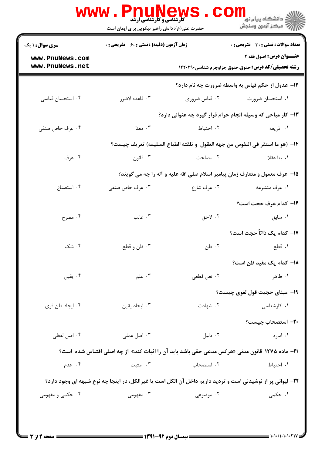| <b>سری سوال : ۱ یک</b>             | <b>زمان آزمون (دقیقه) : تستی : 60 ٪ تشریحی : 0</b>                                                         |               | تعداد سوالات : تستى : 30 ٪ تشريحي : 0                                                        |
|------------------------------------|------------------------------------------------------------------------------------------------------------|---------------|----------------------------------------------------------------------------------------------|
| www.PnuNews.com<br>www.PnuNews.net |                                                                                                            |               | <b>عنـــوان درس:</b> اصول فقه ۲<br><b>رشته تحصیلی/کد درس:</b> حقوق،حقوق جزاوجرم شناسی1۲۲۰۲۹۰ |
|                                    |                                                                                                            |               | <b>۱۲</b> - عدول از حکم قیاس به واسطه ضرورت چه نام دارد؟                                     |
| ۰۴ استحسان قیاسی                   | ۰۳ قاعده لاضرر                                                                                             | ۰۲ قیاس ضروری | ۰۱ استحسان ضرورت                                                                             |
|                                    |                                                                                                            |               | ۱۳- کار مباحی که وسیله انجام حرام قرار گیرد چه عنوانی دارد؟                                  |
| ۰۴ عرف خاص صنفی                    | ۰۳ معدّ                                                                                                    | ٢. احتياط     | ١. ذريعه                                                                                     |
|                                    |                                                                                                            |               | ١۴– (هو ما استقر في النفوس من جهه العقول  و تلقته الطباع السليمه) تعريف چيست؟                |
| ۰۴ عرف                             | ۰۳ قانون                                                                                                   | ٢. مصلحت      | ۰۱ بنا عقلا                                                                                  |
|                                    |                                                                                                            |               | ۱۵- عرف معمول و متعارف زمان پیامبر اسلام صلی الله علیه و آله را چه می گویند؟                 |
| ۰۴ استصناع                         | ۰۳ عرف خاص صنفی                                                                                            | ۰۲ عرف شارع   | ۰۱ عرف متشرعه                                                                                |
|                                    |                                                                                                            |               | ۱۶- کدام عرف حجت است؟                                                                        |
| ۰۴ مصرح                            | ۰۳ غالب                                                                                                    | ۰۲ لاحق       | ۰۱ سابق                                                                                      |
|                                    |                                                                                                            |               | N−  کدام یک ذاتاً حجت است؟                                                                   |
| ۰۴ شک                              | ۰۳ ظن و قطع                                                                                                | ۰۲ ظن         | ۰۱ قطع                                                                                       |
|                                    |                                                                                                            |               | <b>۱۸</b> – کدام یک مفید ظن است؟                                                             |
| ۰۴ يقين                            | ۰۳ علم                                                                                                     | ۰۲ نص قطعی    | ۰۱ ظاهر                                                                                      |
|                                    |                                                                                                            |               | <b>۱۹</b> - مبنای حجیت قول لغوی چیست؟                                                        |
| ۰۴ ایجاد ظن قوی                    | ۰۳ ایجاد یقین                                                                                              | ۰۲ شهادت      | ۰۱ کارشناسی                                                                                  |
|                                    |                                                                                                            |               | ٢٠– استصحاب چيست؟                                                                            |
| ۰۴ اصل لفظی                        | ۰۳ اصل عملی                                                                                                | ۰۲ دلیل       | ۰۱ اماره                                                                                     |
|                                    | 21- ماده ۱۲۷۵ قانون مدنی «هرکس مدعی حقی باشد باید آن را اثبات کند» از چه اصلی اقتباس شده  است؟             |               |                                                                                              |
| ۰۴ عدم                             | ۰۳ مثبت                                                                                                    | ۰۲ استصحاب    | ۰۱ احتیاط                                                                                    |
|                                    | ٢٢- ليواني پر از نوشيدني است و ترديد داريم داخل آن الكل است يا غيرالكل، در اينجا چه نوع شبهه اي وجود دارد؟ |               |                                                                                              |
| ۰۴ حکمی و مفهومی                   | ۰۳ مفهومی                                                                                                  | ۰۲ موضوعی     | <b>۱.</b> حکمی                                                                               |